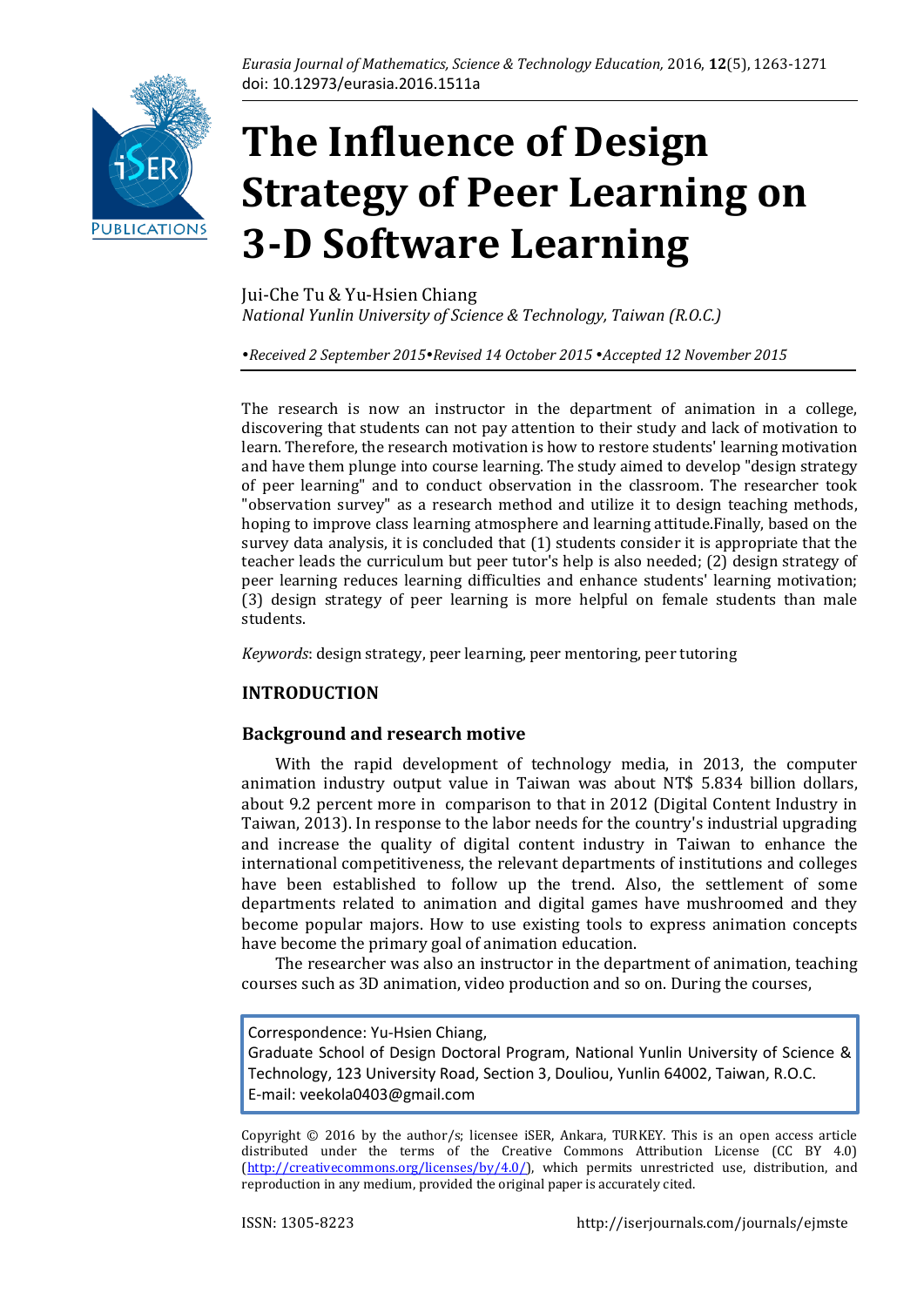

# **The Influence of Design Strategy of Peer Learning on 3-D Software Learning**

Jui-Che Tu & Yu-Hsien Chiang *National Yunlin University of Science & Technology, Taiwan (R.O.C.)*

*Received 2 September 2015Revised 14 October 2015 Accepted 12 November 2015*

The research is now an instructor in the department of animation in a college, discovering that students can not pay attention to their study and lack of motivation to learn. Therefore, the research motivation is how to restore students' learning motivation and have them plunge into course learning. The study aimed to develop "design strategy of peer learning" and to conduct observation in the classroom. The researcher took "observation survey" as a research method and utilize it to design teaching methods, hoping to improve class learning atmosphere and learning attitude.Finally, based on the survey data analysis, it is concluded that (1) students consider it is appropriate that the teacher leads the curriculum but peer tutor's help is also needed; (2) design strategy of peer learning reduces learning difficulties and enhance students' learning motivation; (3) design strategy of peer learning is more helpful on female students than male students.

*Keywords*: design strategy, peer learning, peer mentoring, peer tutoring

# **INTRODUCTION**

# **Background and research motive**

 With the rapid development of technology media, in 2013, the computer animation industry output value in Taiwan was about NT\$ 5.834 billion dollars, about 9.2 percent more in comparison to that in 2012 (Digital Content Industry in Taiwan, 2013). In response to the labor needs for the country's industrial upgrading and increase the quality of digital content industry in Taiwan to enhance the international competitiveness, the relevant departments of institutions and colleges have been established to follow up the trend. Also, the settlement of some departments related to animation and digital games have mushroomed and they become popular majors. How to use existing tools to express animation concepts have become the primary goal of animation education.

 The researcher was also an instructor in the department of animation, teaching courses such as 3D animation, video production and so on. During the courses,

Correspondence: Yu-Hsien Chiang,

Graduate School of Design Doctoral Program, National Yunlin University of Science & Technology, 123 University Road, Section 3, Douliou, Yunlin 64002, Taiwan, R.O.C. E-mail: [veekola0403@gmail.com](mailto:veekola0403@gmail.com)

Copyright © 2016 by the author/s; licensee iSER, Ankara, TURKEY. This is an open access article distributed under the terms of the Creative Commons Attribution License (CC BY 4.0) [\(http://creativecommons.org/licenses/by/4.0/\)](http://creativecommons.org/licenses/by/4.0/), which permits unrestricted use, distribution, and reproduction in any medium, provided the original paper is accurately cited.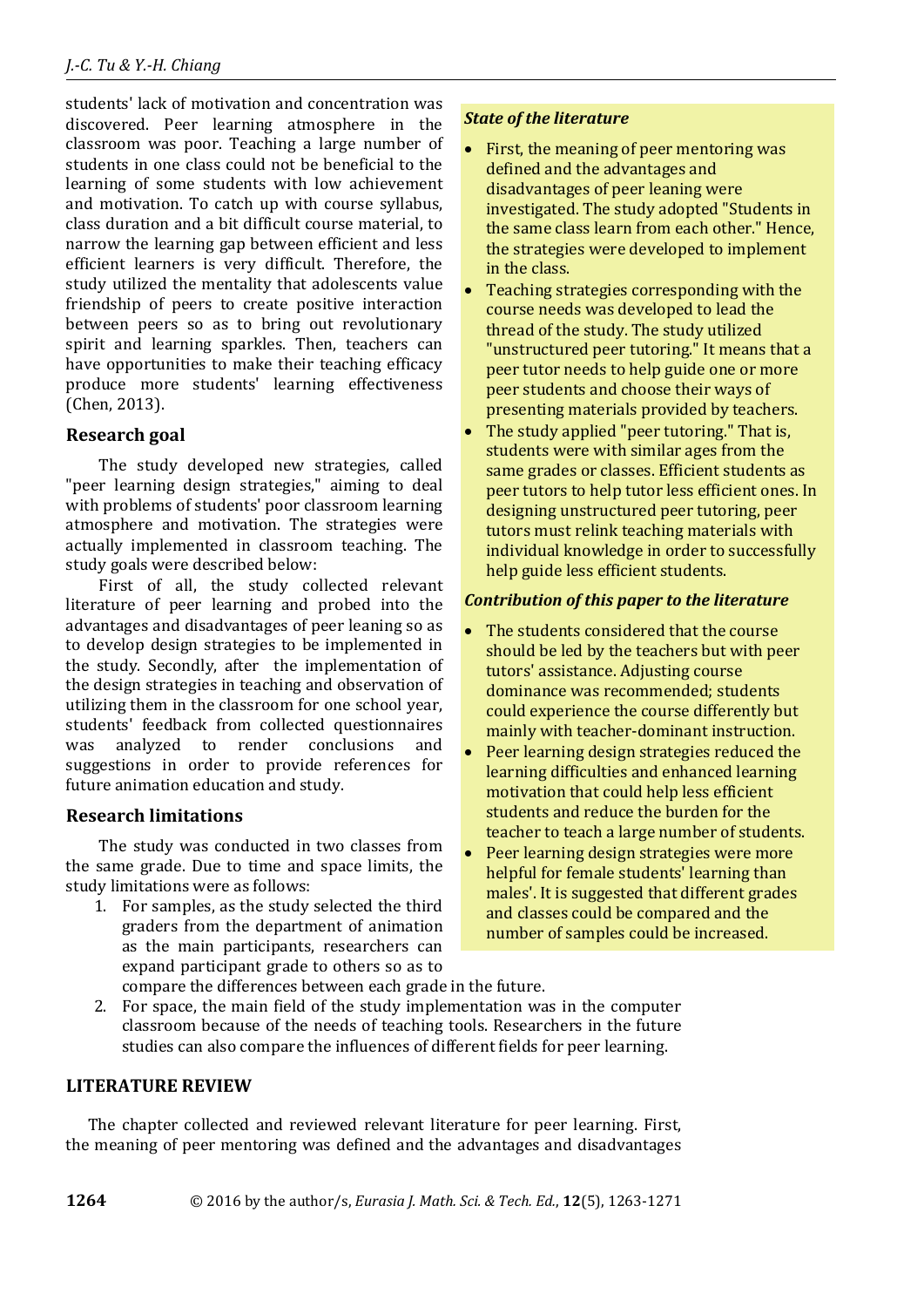students' lack of motivation and concentration was discovered. Peer learning atmosphere in the classroom was poor. Teaching a large number of students in one class could not be beneficial to the learning of some students with low achievement and motivation. To catch up with course syllabus, class duration and a bit difficult course material, to narrow the learning gap between efficient and less efficient learners is very difficult. Therefore, the study utilized the mentality that adolescents value friendship of peers to create positive interaction between peers so as to bring out revolutionary spirit and learning sparkles. Then, teachers can have opportunities to make their teaching efficacy produce more students' learning effectiveness (Chen, 2013).

# **Research goal**

 The study developed new strategies, called "peer learning design strategies," aiming to deal with problems of students' poor classroom learning atmosphere and motivation. The strategies were actually implemented in classroom teaching. The study goals were described below:

 First of all, the study collected relevant literature of peer learning and probed into the advantages and disadvantages of peer leaning so as to develop design strategies to be implemented in the study. Secondly, after the implementation of the design strategies in teaching and observation of utilizing them in the classroom for one school year, students' feedback from collected questionnaires was analyzed to render conclusions and suggestions in order to provide references for future animation education and study.

# **Research limitations**

 The study was conducted in two classes from the same grade. Due to time and space limits, the study limitations were as follows:

1. For samples, as the study selected the third graders from the department of animation as the main participants, researchers can expand participant grade to others so as to compare the differences between each grade in the future.

# *State of the literature*

- First, the meaning of peer mentoring was defined and the advantages and disadvantages of peer leaning were investigated. The study adopted "Students in the same class learn from each other." Hence, the strategies were developed to implement in the class.
- Teaching strategies corresponding with the course needs was developed to lead the thread of the study. The study utilized "unstructured peer tutoring." It means that a peer tutor needs to help guide one or more peer students and choose their ways of presenting materials provided by teachers.
- The study applied "peer tutoring." That is, students were with similar ages from the same grades or classes. Efficient students as peer tutors to help tutor less efficient ones. In designing unstructured peer tutoring, peer tutors must relink teaching materials with individual knowledge in order to successfully help guide less efficient students.

## *Contribution of this paper to the literature*

- The students considered that the course should be led by the teachers but with peer tutors' assistance. Adjusting course dominance was recommended; students could experience the course differently but mainly with teacher-dominant instruction.
- Peer learning design strategies reduced the learning difficulties and enhanced learning motivation that could help less efficient students and reduce the burden for the teacher to teach a large number of students.
- Peer learning design strategies were more helpful for female students' learning than males'. It is suggested that different grades and classes could be compared and the number of samples could be increased.
- 2. For space, the main field of the study implementation was in the computer classroom because of the needs of teaching tools. Researchers in the future studies can also compare the influences of different fields for peer learning.

# **LITERATURE REVIEW**

The chapter collected and reviewed relevant literature for peer learning. First, the meaning of peer mentoring was defined and the advantages and disadvantages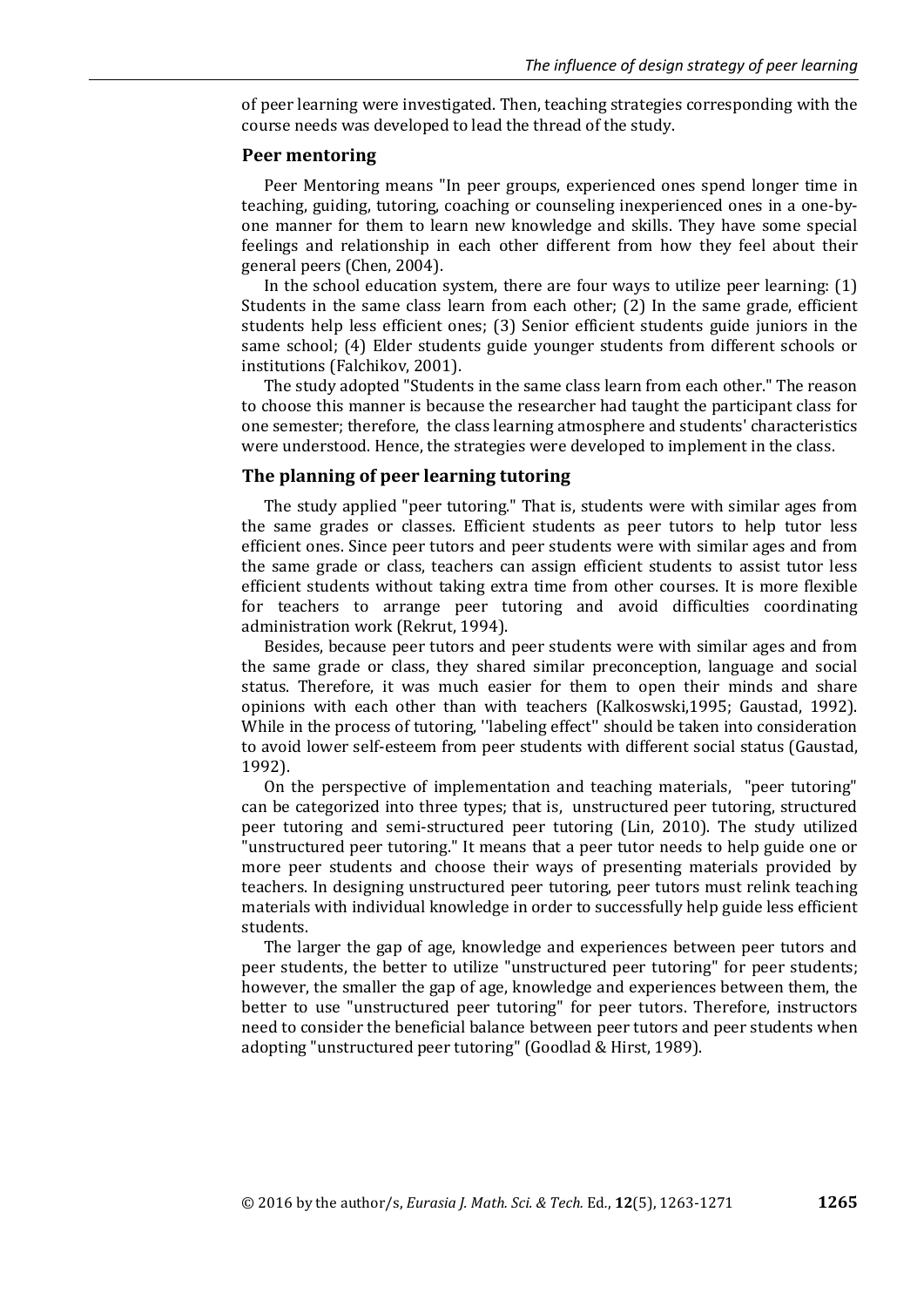of peer learning were investigated. Then, teaching strategies corresponding with the course needs was developed to lead the thread of the study.

#### **Peer mentoring**

Peer Mentoring means "In peer groups, experienced ones spend longer time in teaching, guiding, tutoring, coaching or counseling inexperienced ones in a one-byone manner for them to learn new knowledge and skills. They have some special feelings and relationship in each other different from how they feel about their general peers (Chen, 2004).

In the school education system, there are four ways to utilize peer learning: (1) Students in the same class learn from each other; (2) In the same grade, efficient students help less efficient ones; (3) Senior efficient students guide juniors in the same school; (4) Elder students guide younger students from different schools or institutions (Falchikov, 2001).

The study adopted "Students in the same class learn from each other." The reason to choose this manner is because the researcher had taught the participant class for one semester; therefore, the class learning atmosphere and students' characteristics were understood. Hence, the strategies were developed to implement in the class.

#### **The planning of peer learning tutoring**

The study applied "peer tutoring." That is, students were with similar ages from the same grades or classes. Efficient students as peer tutors to help tutor less efficient ones. Since peer tutors and peer students were with similar ages and from the same grade or class, teachers can assign efficient students to assist tutor less efficient students without taking extra time from other courses. It is more flexible for teachers to arrange peer tutoring and avoid difficulties coordinating administration work (Rekrut, 1994).

Besides, because peer tutors and peer students were with similar ages and from the same grade or class, they shared similar preconception, language and social status. Therefore, it was much easier for them to open their minds and share opinions with each other than with teachers (Kalkoswski,1995; Gaustad, 1992). While in the process of tutoring, ''labeling effect'' should be taken into consideration to avoid lower self-esteem from peer students with different social status (Gaustad, 1992).

On the perspective of implementation and teaching materials, "peer tutoring" can be categorized into three types; that is, unstructured peer tutoring, structured peer tutoring and semi-structured peer tutoring (Lin, 2010). The study utilized "unstructured peer tutoring." It means that a peer tutor needs to help guide one or more peer students and choose their ways of presenting materials provided by teachers. In designing unstructured peer tutoring, peer tutors must relink teaching materials with individual knowledge in order to successfully help guide less efficient students.

The larger the gap of age, knowledge and experiences between peer tutors and peer students, the better to utilize "unstructured peer tutoring" for peer students; however, the smaller the gap of age, knowledge and experiences between them, the better to use "unstructured peer tutoring" for peer tutors. Therefore, instructors need to consider the beneficial balance between peer tutors and peer students when adopting "unstructured peer tutoring" (Goodlad & Hirst, 1989).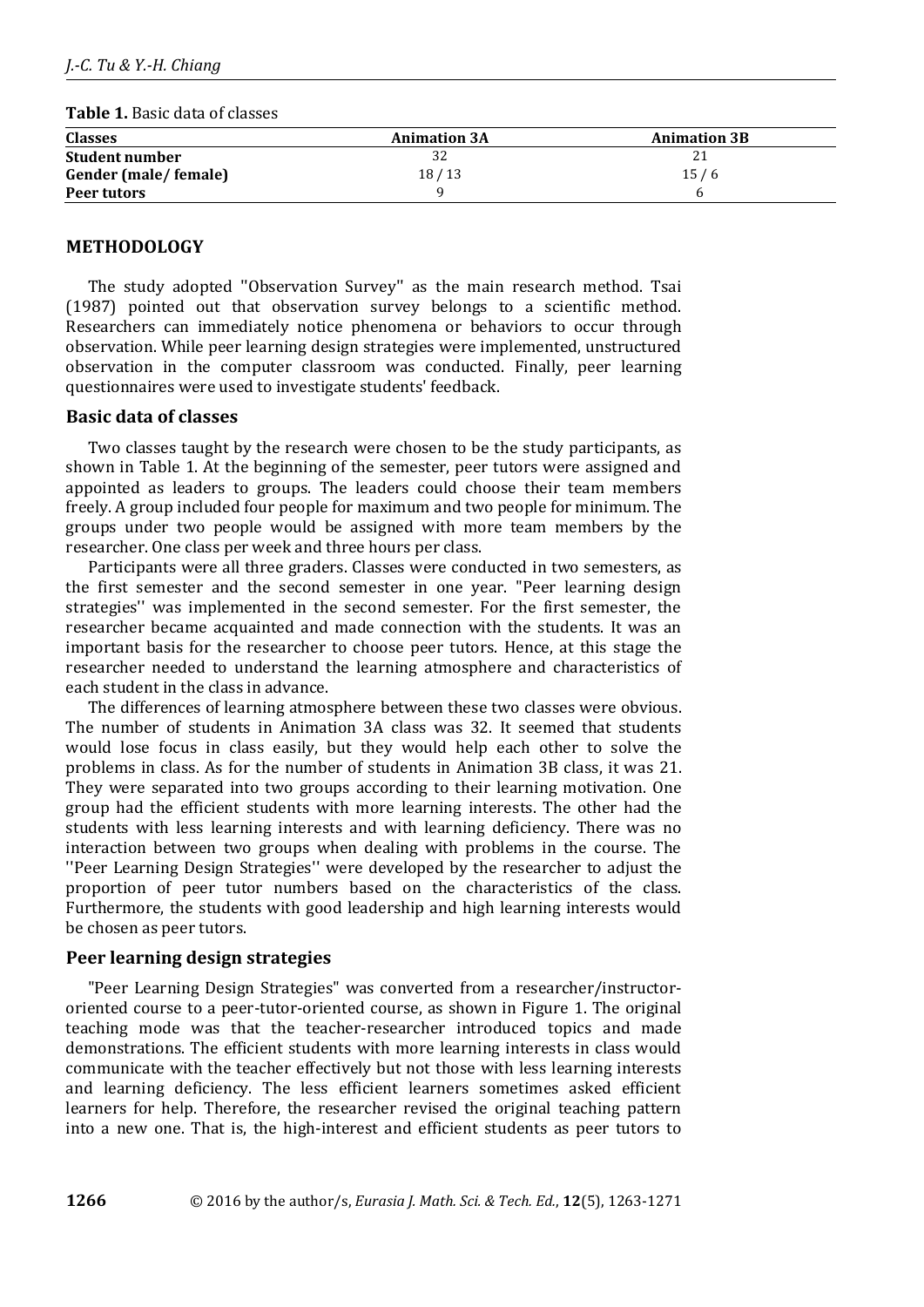|  | <b>Table 1.</b> Basic data of classes |
|--|---------------------------------------|
|--|---------------------------------------|

| <b>Classes</b>        | <b>Animation 3A</b> | <b>Animation 3B</b> |
|-----------------------|---------------------|---------------------|
| <b>Student number</b> | 32                  |                     |
| Gender (male/female)  | 18/13               | 15/6                |
| Peer tutors           |                     |                     |

## **METHODOLOGY**

The study adopted ''Observation Survey'' as the main research method. Tsai (1987) pointed out that observation survey belongs to a scientific method. Researchers can immediately notice phenomena or behaviors to occur through observation. While peer learning design strategies were implemented, unstructured observation in the computer classroom was conducted. Finally, peer learning questionnaires were used to investigate students' feedback.

## **Basic data of classes**

Two classes taught by the research were chosen to be the study participants, as shown in Table 1. At the beginning of the semester, peer tutors were assigned and appointed as leaders to groups. The leaders could choose their team members freely. A group included four people for maximum and two people for minimum. The groups under two people would be assigned with more team members by the researcher. One class per week and three hours per class.

Participants were all three graders. Classes were conducted in two semesters, as the first semester and the second semester in one year. "Peer learning design strategies'' was implemented in the second semester. For the first semester, the researcher became acquainted and made connection with the students. It was an important basis for the researcher to choose peer tutors. Hence, at this stage the researcher needed to understand the learning atmosphere and characteristics of each student in the class in advance.

The differences of learning atmosphere between these two classes were obvious. The number of students in Animation 3A class was 32. It seemed that students would lose focus in class easily, but they would help each other to solve the problems in class. As for the number of students in Animation 3B class, it was 21. They were separated into two groups according to their learning motivation. One group had the efficient students with more learning interests. The other had the students with less learning interests and with learning deficiency. There was no interaction between two groups when dealing with problems in the course. The ''Peer Learning Design Strategies'' were developed by the researcher to adjust the proportion of peer tutor numbers based on the characteristics of the class. Furthermore, the students with good leadership and high learning interests would be chosen as peer tutors.

## **Peer learning design strategies**

"Peer Learning Design Strategies" was converted from a researcher/instructororiented course to a peer-tutor-oriented course, as shown in Figure 1. The original teaching mode was that the teacher-researcher introduced topics and made demonstrations. The efficient students with more learning interests in class would communicate with the teacher effectively but not those with less learning interests and learning deficiency. The less efficient learners sometimes asked efficient learners for help. Therefore, the researcher revised the original teaching pattern into a new one. That is, the high-interest and efficient students as peer tutors to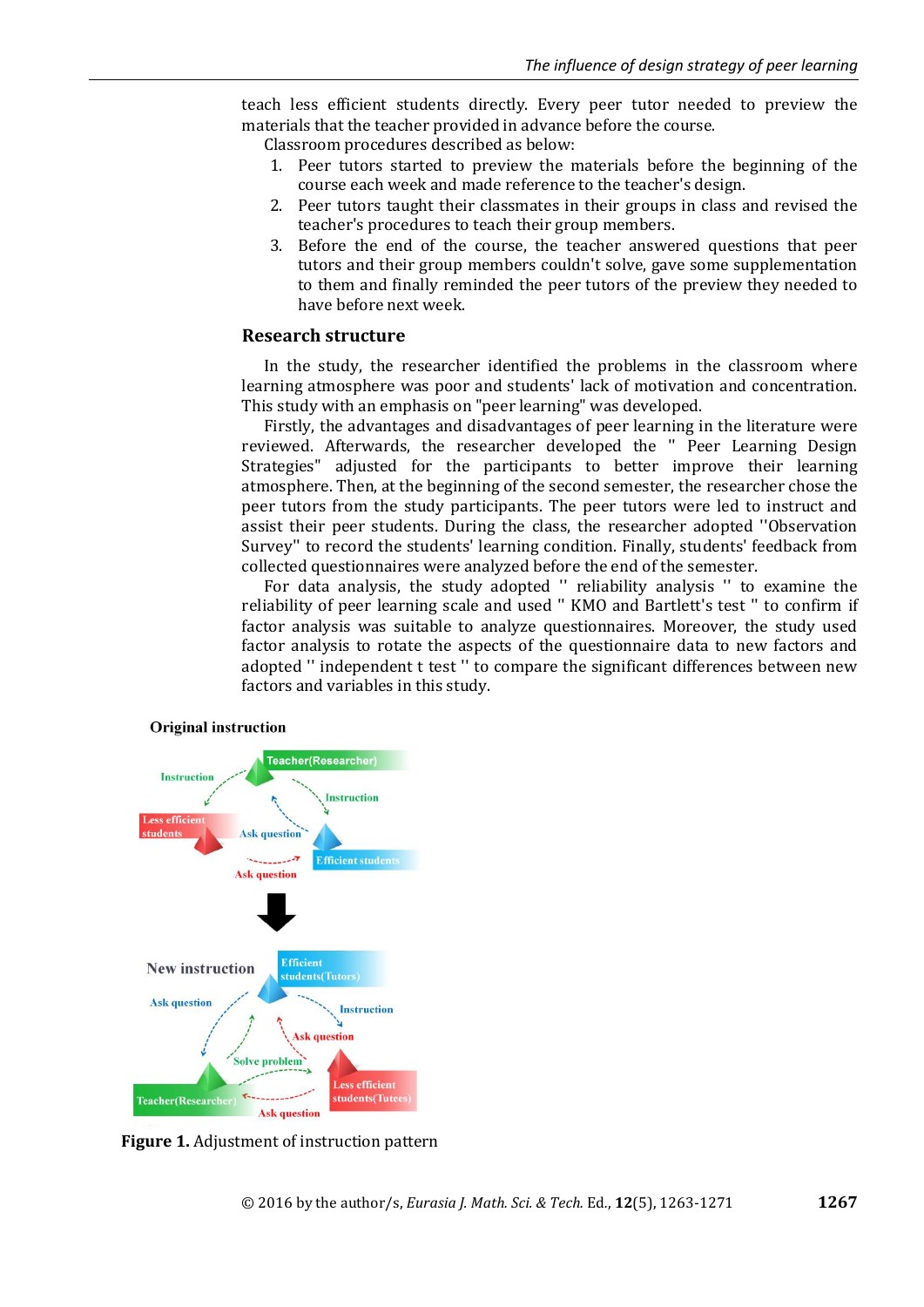teach less efficient students directly. Every peer tutor needed to preview the materials that the teacher provided in advance before the course.

Classroom procedures described as below:

- 1. Peer tutors started to preview the materials before the beginning of the course each week and made reference to the teacher's design.
- 2. Peer tutors taught their classmates in their groups in class and revised the teacher's procedures to teach their group members.
- 3. Before the end of the course, the teacher answered questions that peer tutors and their group members couldn't solve, gave some supplementation to them and finally reminded the peer tutors of the preview they needed to have before next week.

# **Research structure**

In the study, the researcher identified the problems in the classroom where learning atmosphere was poor and students' lack of motivation and concentration. This study with an emphasis on "peer learning" was developed.

Firstly, the advantages and disadvantages of peer learning in the literature were reviewed. Afterwards, the researcher developed the '' Peer Learning Design Strategies" adjusted for the participants to better improve their learning atmosphere. Then, at the beginning of the second semester, the researcher chose the peer tutors from the study participants. The peer tutors were led to instruct and assist their peer students. During the class, the researcher adopted ''Observation Survey'' to record the students' learning condition. Finally, students' feedback from collected questionnaires were analyzed before the end of the semester.

For data analysis, the study adopted '' reliability analysis '' to examine the reliability of peer learning scale and used '' KMO and Bartlett's test '' to confirm if factor analysis was suitable to analyze questionnaires. Moreover, the study used factor analysis to rotate the aspects of the questionnaire data to new factors and adopted '' independent t test '' to compare the significant differences between new factors and variables in this study.



#### **Original instruction**

**Figure 1.** Adjustment of instruction pattern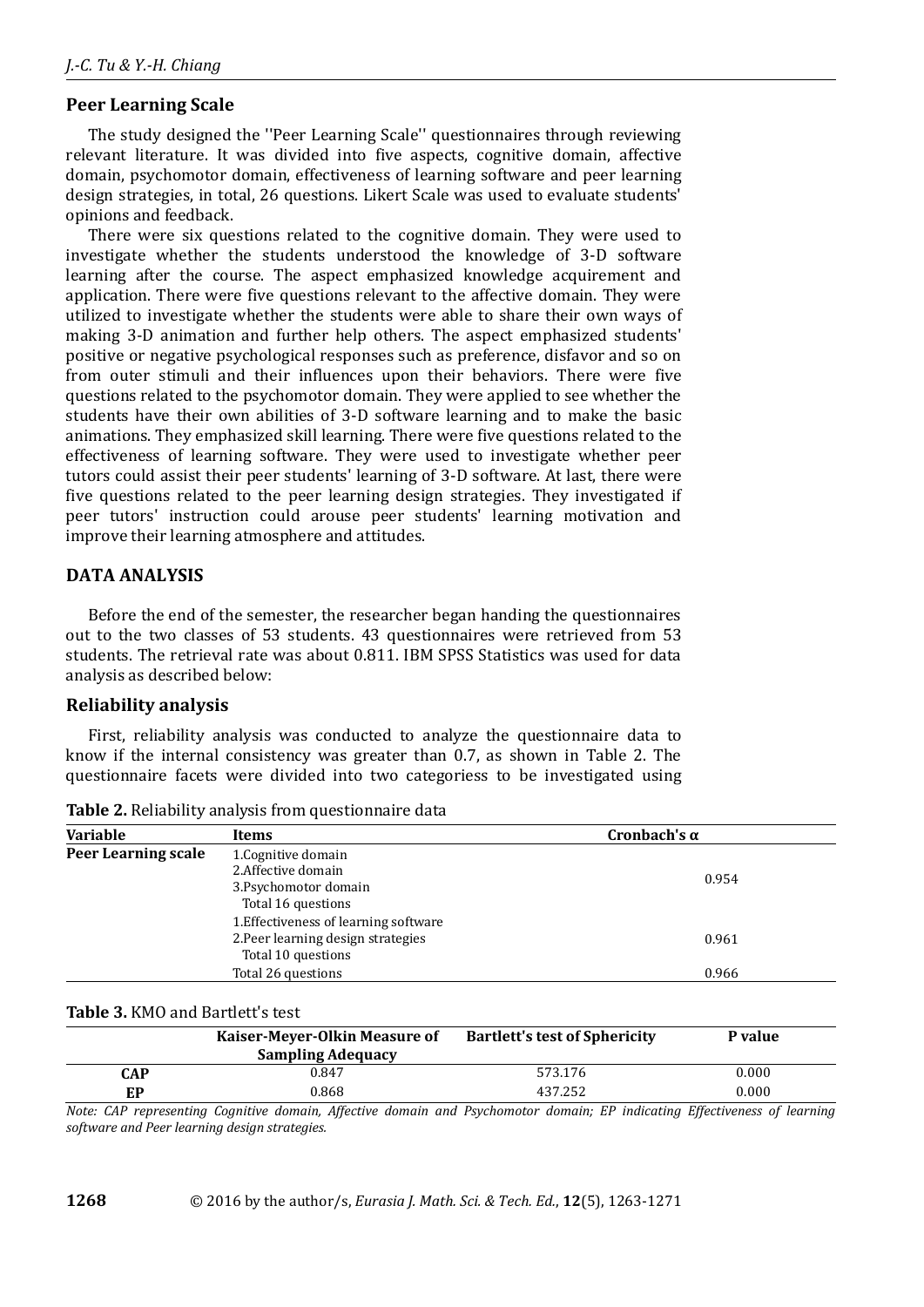# **Peer Learning Scale**

The study designed the ''Peer Learning Scale'' questionnaires through reviewing relevant literature. It was divided into five aspects, cognitive domain, affective domain, psychomotor domain, effectiveness of learning software and peer learning design strategies, in total, 26 questions. Likert Scale was used to evaluate students' opinions and feedback.

There were six questions related to the cognitive domain. They were used to investigate whether the students understood the knowledge of 3-D software learning after the course. The aspect emphasized knowledge acquirement and application. There were five questions relevant to the affective domain. They were utilized to investigate whether the students were able to share their own ways of making 3-D animation and further help others. The aspect emphasized students' positive or negative psychological responses such as preference, disfavor and so on from outer stimuli and their influences upon their behaviors. There were five questions related to the psychomotor domain. They were applied to see whether the students have their own abilities of 3-D software learning and to make the basic animations. They emphasized skill learning. There were five questions related to the effectiveness of learning software. They were used to investigate whether peer tutors could assist their peer students' learning of 3-D software. At last, there were five questions related to the peer learning design strategies. They investigated if peer tutors' instruction could arouse peer students' learning motivation and improve their learning atmosphere and attitudes.

# **DATA ANALYSIS**

Before the end of the semester, the researcher began handing the questionnaires out to the two classes of 53 students. 43 questionnaires were retrieved from 53 students. The retrieval rate was about 0.811. IBM SPSS Statistics was used for data analysis as described below:

# **Reliability analysis**

First, reliability analysis was conducted to analyze the questionnaire data to know if the internal consistency was greater than 0.7, as shown in Table 2. The questionnaire facets were divided into two categoriess to be investigated using

| <b>Variable</b>     | Items                                 | Cronbach's $\alpha$ |
|---------------------|---------------------------------------|---------------------|
| Peer Learning scale | 1. Cognitive domain                   |                     |
|                     | 2. Affective domain                   | 0.954               |
|                     | 3. Psychomotor domain                 |                     |
|                     | Total 16 questions                    |                     |
|                     | 1. Effectiveness of learning software |                     |
|                     | 2. Peer learning design strategies    | 0.961               |
|                     | Total 10 questions                    |                     |
|                     | Total 26 questions                    | 0.966               |

**Table 2.** Reliability analysis from questionnaire data

## **Table 3.** KMO and Bartlett's test

|          | Kaiser-Meyer-Olkin Measure of<br><b>Sampling Adequacy</b>                     | <b>Bartlett's test of Sphericity</b> | P value                |
|----------|-------------------------------------------------------------------------------|--------------------------------------|------------------------|
| CAP      | 0.847                                                                         | 573.176                              | 0.000                  |
| EP       | 0.868                                                                         | 437.252                              | 0.000                  |
| -- - - - | $\sim$ $\sim$ $\sim$ $\sim$ $\sim$ $\sim$ $\sim$<br>___<br>.<br>$\sim$ $\sim$ | ___<br>$\sim$ $\sim$ $\sim$ $\sim$   | $\sim$ $\sim$<br>$  -$ |

*Note: CAP representing Cognitive domain, Affective domain and Psychomotor domain; EP indicating Effectiveness of learning software and Peer learning design strategies.*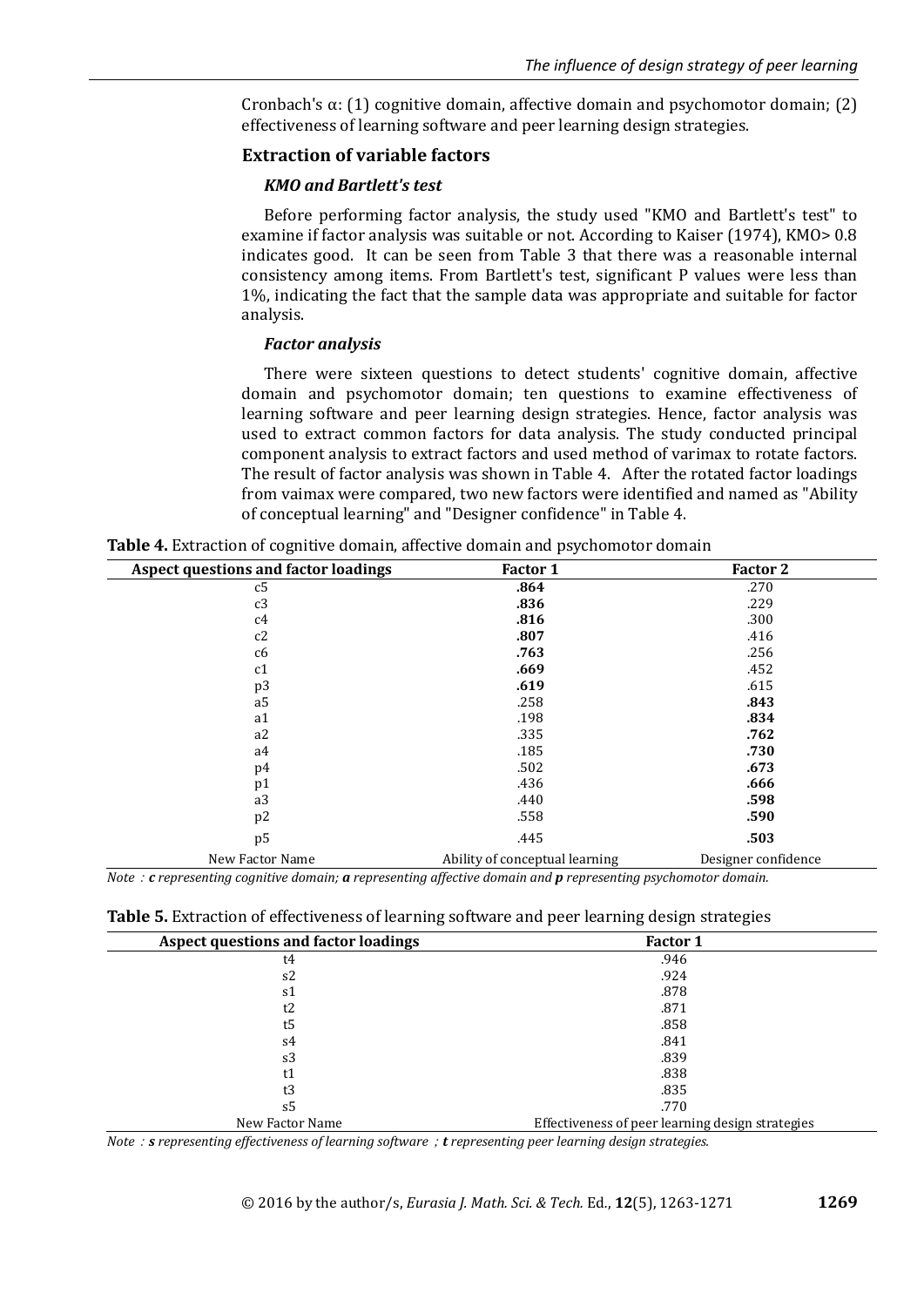Cronbach's  $\alpha$ : (1) cognitive domain, affective domain and psychomotor domain; (2) effectiveness of learning software and peer learning design strategies.

## **Extraction of variable factors**

## *KMO and Bartlett's test*

Before performing factor analysis, the study used "KMO and Bartlett's test" to examine if factor analysis was suitable or not. According to Kaiser (1974), KMO> 0.8 indicates good. It can be seen from Table 3 that there was a reasonable internal consistency among items. From Bartlett's test, significant P values were less than 1%, indicating the fact that the sample data was appropriate and suitable for factor analysis.

## *Factor analysis*

There were sixteen questions to detect students' cognitive domain, affective domain and psychomotor domain; ten questions to examine effectiveness of learning software and peer learning design strategies. Hence, factor analysis was used to extract common factors for data analysis. The study conducted principal component analysis to extract factors and used method of varimax to rotate factors. The result of factor analysis was shown in Table 4. After the rotated factor loadings from vaimax were compared, two new factors were identified and named as "Ability of conceptual learning" and "Designer confidence" in Table 4.

| <b>Aspect questions and factor loadings</b> | Factor 1                       | Factor 2            |
|---------------------------------------------|--------------------------------|---------------------|
| c5                                          | .864                           | .270                |
| c3                                          | .836                           | .229                |
| c4                                          | .816                           | .300                |
| c2                                          | .807                           | .416                |
| c <sub>6</sub>                              | .763                           | .256                |
| c1                                          | .669                           | .452                |
| p3                                          | .619                           | .615                |
| a <sub>5</sub>                              | .258                           | .843                |
| a1                                          | .198                           | .834                |
| a2                                          | .335                           | .762                |
| a4                                          | .185                           | .730                |
| p4                                          | .502                           | .673                |
| p1                                          | .436                           | .666                |
| a3                                          | .440                           | .598                |
| p <sub>2</sub>                              | .558                           | .590                |
| p <sub>5</sub>                              | .445                           | .503                |
| New Factor Name                             | Ability of conceptual learning | Designer confidence |

**Table 4.** Extraction of cognitive domain, affective domain and psychomotor domain

*Note*:*c representing cognitive domain; a representing affective domain and p representing psychomotor domain.*

| Table 5. Extraction of effectiveness of learning software and peer learning design strategies |  |  |  |
|-----------------------------------------------------------------------------------------------|--|--|--|
|-----------------------------------------------------------------------------------------------|--|--|--|

| <b>Aspect questions and factor loadings</b> | <b>Factor 1</b>                                  |
|---------------------------------------------|--------------------------------------------------|
| t4                                          | .946                                             |
| s2                                          | .924                                             |
| s1                                          | .878                                             |
| t2                                          | .871                                             |
| t5                                          | .858                                             |
| s4                                          | .841                                             |
| s3                                          | .839                                             |
|                                             | .838                                             |
| t3                                          | .835                                             |
| s5                                          | .770                                             |
| New Factor Name                             | Effectiveness of peer learning design strategies |

*Note*:*s representing effectiveness of learning software*;*t representing peer learning design strategies.*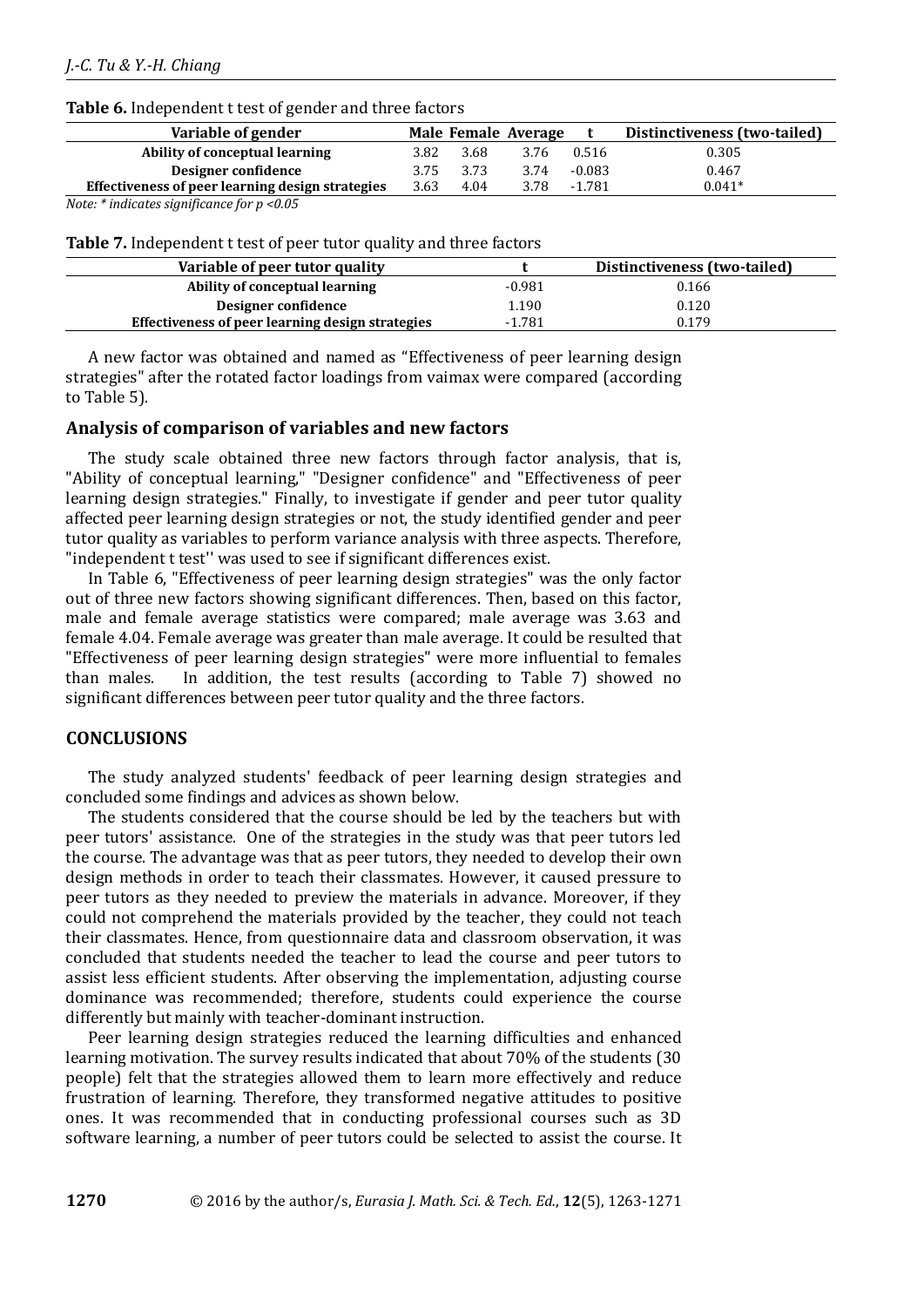### **Table 6.** Independent t test of gender and three factors

| Variable of gender                                                           |      |      | Male Female Average |          | Distinctiveness (two-tailed) |
|------------------------------------------------------------------------------|------|------|---------------------|----------|------------------------------|
| Ability of conceptual learning                                               | 3.82 | 3.68 | 3.76                | 0.516    | 0.305                        |
| Designer confidence                                                          | 3.75 | 3.73 | 3.74                | $-0.083$ | 0.467                        |
| Effectiveness of peer learning design strategies                             | 3.63 | 4.04 | 3.78                | -1.781   | $0.041*$                     |
| $\mathbf{r}$ . As the set of the set of $\mathbf{r}$<br>$\sim$ $\sim$ $\sim$ |      |      |                     |          |                              |

*Note: \* indicates significance for p <0.05*

| Table 7. Independent t test of peer tutor quality and three factors |  |  |
|---------------------------------------------------------------------|--|--|
|---------------------------------------------------------------------|--|--|

| Variable of peer tutor quality                   |          | Distinctiveness (two-tailed) |
|--------------------------------------------------|----------|------------------------------|
| Ability of conceptual learning                   | $-0.981$ | 0.166                        |
| Designer confidence                              | 1.190    | 0.120                        |
| Effectiveness of peer learning design strategies | $-1.781$ | 0.179                        |

A new factor was obtained and named as "Effectiveness of peer learning design strategies" after the rotated factor loadings from vaimax were compared (according to Table 5).

## **Analysis of comparison of variables and new factors**

The study scale obtained three new factors through factor analysis, that is, "Ability of conceptual learning," "Designer confidence" and "Effectiveness of peer learning design strategies." Finally, to investigate if gender and peer tutor quality affected peer learning design strategies or not, the study identified gender and peer tutor quality as variables to perform variance analysis with three aspects. Therefore, "independent t test'' was used to see if significant differences exist.

In Table 6, "Effectiveness of peer learning design strategies" was the only factor out of three new factors showing significant differences. Then, based on this factor, male and female average statistics were compared; male average was 3.63 and female 4.04. Female average was greater than male average. It could be resulted that "Effectiveness of peer learning design strategies" were more influential to females than males. In addition, the test results (according to Table 7) showed no significant differences between peer tutor quality and the three factors.

# **CONCLUSIONS**

The study analyzed students' feedback of peer learning design strategies and concluded some findings and advices as shown below.

The students considered that the course should be led by the teachers but with peer tutors' assistance. One of the strategies in the study was that peer tutors led the course. The advantage was that as peer tutors, they needed to develop their own design methods in order to teach their classmates. However, it caused pressure to peer tutors as they needed to preview the materials in advance. Moreover, if they could not comprehend the materials provided by the teacher, they could not teach their classmates. Hence, from questionnaire data and classroom observation, it was concluded that students needed the teacher to lead the course and peer tutors to assist less efficient students. After observing the implementation, adjusting course dominance was recommended; therefore, students could experience the course differently but mainly with teacher-dominant instruction.

Peer learning design strategies reduced the learning difficulties and enhanced learning motivation. The survey results indicated that about 70% of the students (30 people) felt that the strategies allowed them to learn more effectively and reduce frustration of learning. Therefore, they transformed negative attitudes to positive ones. It was recommended that in conducting professional courses such as 3D software learning, a number of peer tutors could be selected to assist the course. It